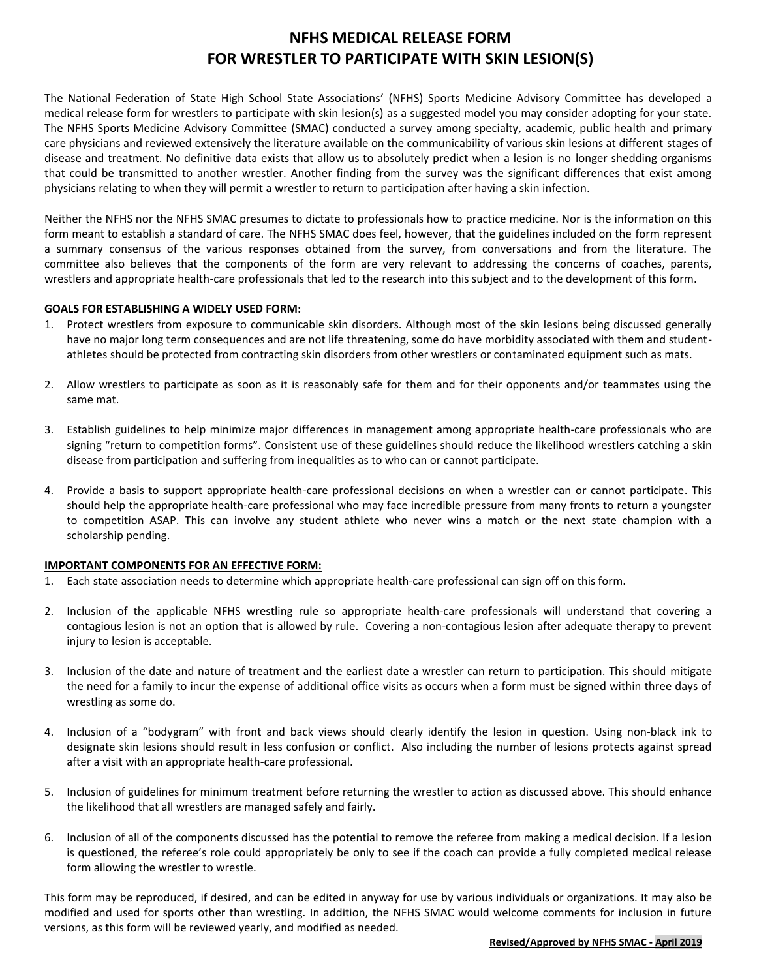# **NFHS MEDICAL RELEASE FORM FOR WRESTLER TO PARTICIPATE WITH SKIN LESION(S)**

The National Federation of State High School State Associations' (NFHS) Sports Medicine Advisory Committee has developed a medical release form for wrestlers to participate with skin lesion(s) as a suggested model you may consider adopting for your state. The NFHS Sports Medicine Advisory Committee (SMAC) conducted a survey among specialty, academic, public health and primary care physicians and reviewed extensively the literature available on the communicability of various skin lesions at different stages of disease and treatment. No definitive data exists that allow us to absolutely predict when a lesion is no longer shedding organisms that could be transmitted to another wrestler. Another finding from the survey was the significant differences that exist among physicians relating to when they will permit a wrestler to return to participation after having a skin infection.

Neither the NFHS nor the NFHS SMAC presumes to dictate to professionals how to practice medicine. Nor is the information on this form meant to establish a standard of care. The NFHS SMAC does feel, however, that the guidelines included on the form represent a summary consensus of the various responses obtained from the survey, from conversations and from the literature. The committee also believes that the components of the form are very relevant to addressing the concerns of coaches, parents, wrestlers and appropriate health-care professionals that led to the research into this subject and to the development of this form.

## **GOALS FOR ESTABLISHING A WIDELY USED FORM:**

- 1. Protect wrestlers from exposure to communicable skin disorders. Although most of the skin lesions being discussed generally have no major long term consequences and are not life threatening, some do have morbidity associated with them and studentathletes should be protected from contracting skin disorders from other wrestlers or contaminated equipment such as mats.
- 2. Allow wrestlers to participate as soon as it is reasonably safe for them and for their opponents and/or teammates using the same mat.
- 3. Establish guidelines to help minimize major differences in management among appropriate health-care professionals who are signing "return to competition forms". Consistent use of these guidelines should reduce the likelihood wrestlers catching a skin disease from participation and suffering from inequalities as to who can or cannot participate.
- 4. Provide a basis to support appropriate health-care professional decisions on when a wrestler can or cannot participate. This should help the appropriate health-care professional who may face incredible pressure from many fronts to return a youngster to competition ASAP. This can involve any student athlete who never wins a match or the next state champion with a scholarship pending.

## **IMPORTANT COMPONENTS FOR AN EFFECTIVE FORM:**

- 1. Each state association needs to determine which appropriate health-care professional can sign off on this form.
- 2. Inclusion of the applicable NFHS wrestling rule so appropriate health-care professionals will understand that covering a contagious lesion is not an option that is allowed by rule. Covering a non-contagious lesion after adequate therapy to prevent injury to lesion is acceptable.
- 3. Inclusion of the date and nature of treatment and the earliest date a wrestler can return to participation. This should mitigate the need for a family to incur the expense of additional office visits as occurs when a form must be signed within three days of wrestling as some do.
- 4. Inclusion of a "bodygram" with front and back views should clearly identify the lesion in question. Using non-black ink to designate skin lesions should result in less confusion or conflict. Also including the number of lesions protects against spread after a visit with an appropriate health-care professional.
- 5. Inclusion of guidelines for minimum treatment before returning the wrestler to action as discussed above. This should enhance the likelihood that all wrestlers are managed safely and fairly.
- 6. Inclusion of all of the components discussed has the potential to remove the referee from making a medical decision. If a lesion is questioned, the referee's role could appropriately be only to see if the coach can provide a fully completed medical release form allowing the wrestler to wrestle.

This form may be reproduced, if desired, and can be edited in anyway for use by various individuals or organizations. It may also be modified and used for sports other than wrestling. In addition, the NFHS SMAC would welcome comments for inclusion in future versions, as this form will be reviewed yearly, and modified as needed.